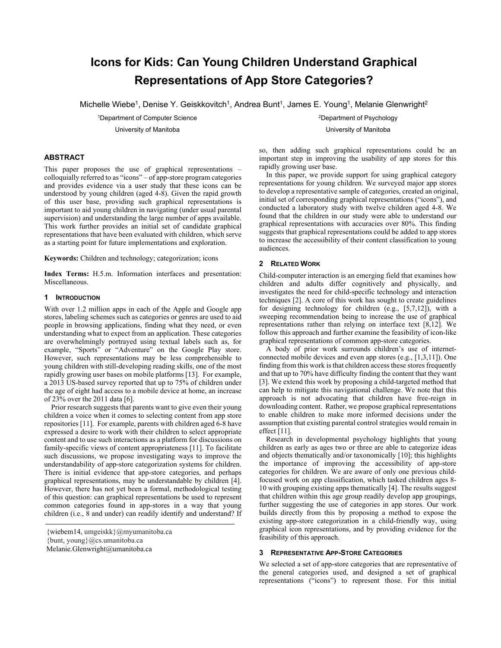# **Icons for Kids: Can Young Children Understand Graphical Representations of App Store Categories?**

Michelle Wiebe<sup>1</sup>, Denise Y. Geiskkovitch<sup>1</sup>, Andrea Bunt<sup>1</sup>, James E. Young<sup>1</sup>, Melanie Glenwright<sup>2</sup>

1 Department of Computer Science

University of Manitoba

2 Department of Psychology University of Manitoba

# **ABSTRACT**

This paper proposes the use of graphical representations – colloquially referred to as "icons" – of app-store program categories and provides evidence via a user study that these icons can be understood by young children (aged 4-8). Given the rapid growth of this user base, providing such graphical representations is important to aid young children in navigating (under usual parental supervision) and understanding the large number of apps available. This work further provides an initial set of candidate graphical representations that have been evaluated with children, which serve as a starting point for future implementations and exploration.

**Keywords:** Children and technology; categorization; icons

**Index Terms:** H.5.m. Information interfaces and presentation: Miscellaneous.

#### **1 INTRODUCTION**

With over 1.2 million apps in each of the Apple and Google app stores, labeling schemes such as categories or genres are used to aid people in browsing applications, finding what they need, or even understanding what to expect from an application. These categories are overwhelmingly portrayed using textual labels such as, for example, "Sports" or "Adventure" on the Google Play store. However, such representations may be less comprehensible to young children with still-developing reading skills, one of the most rapidly growing user bases on mobile platforms [13]. For example, a 2013 US-based survey reported that up to 75% of children under the age of eight had access to a mobile device at home, an increase of 23% over the 2011 data [6].

Prior research suggests that parents want to give even their young children a voice when it comes to selecting content from app store repositories [11]. For example, parents with children aged 6-8 have expressed a desire to work with their children to select appropriate content and to use such interactions as a platform for discussions on family-specific views of content appropriateness [11]. To facilitate such discussions, we propose investigating ways to improve the understandability of app-store categorization systems for children. There is initial evidence that app-store categories, and perhaps graphical representations, may be understandable by children [4]. However, there has not yet been a formal, methodological testing of this question: can graphical representations be used to represent common categories found in app-stores in a way that young children (i.e., 8 and under) can readily identify and understand? If

 ${\text{bunt, young}}$  $@cs.$ umanitoba.ca

so, then adding such graphical representations could be an important step in improving the usability of app stores for this rapidly growing user base.

In this paper, we provide support for using graphical category representations for young children. We surveyed major app stores to develop a representative sample of categories, created an original, initial set of corresponding graphical representations ("icons"), and conducted a laboratory study with twelve children aged 4-8. We found that the children in our study were able to understand our graphical representations with accuracies over 80%. This finding suggests that graphical representations could be added to app stores to increase the accessibility of their content classification to young audiences.

#### **2 RELATED WORK**

Child-computer interaction is an emerging field that examines how children and adults differ cognitively and physically, and investigates the need for child-specific technology and interaction techniques [2]. A core of this work has sought to create guidelines for designing technology for children (e.g., [5,7,12]), with a sweeping recommendation being to increase the use of graphical representations rather than relying on interface text [8,12]. We follow this approach and further examine the feasibility of icon-like graphical representations of common app-store categories.

A body of prior work surrounds children's use of internetconnected mobile devices and even app stores (e.g., [1,3,11]). One finding from this work is that children access these stores frequently and that up to 70% have difficulty finding the content that they want [3]. We extend this work by proposing a child-targeted method that can help to mitigate this navigational challenge. We note that this approach is not advocating that children have free-reign in downloading content. Rather, we propose graphical representations to enable children to make more informed decisions under the assumption that existing parental control strategies would remain in effect [11].

Research in developmental psychology highlights that young children as early as ages two or three are able to categorize ideas and objects thematically and/or taxonomically [10]; this highlights the importance of improving the accessibility of app-store categories for children. We are aware of only one previous childfocused work on app classification, which tasked children ages 8- 10 with grouping existing apps thematically [4]. The results suggest that children within this age group readily develop app groupings, further suggesting the use of categories in app stores. Our work builds directly from this by proposing a method to expose the existing app-store categorization in a child-friendly way, using graphical icon representations, and by providing evidence for the feasibility of this approach.

#### **3 REPRESENTATIVE APP-STORE CATEGORIES**

We selected a set of app-store categories that are representative of the general categories used, and designed a set of graphical representations ("icons") to represent those. For this initial

<sup>{</sup>wiebem14, umgeiskk}@myumanitoba.ca

Melanie.Glenwright@umanitoba.ca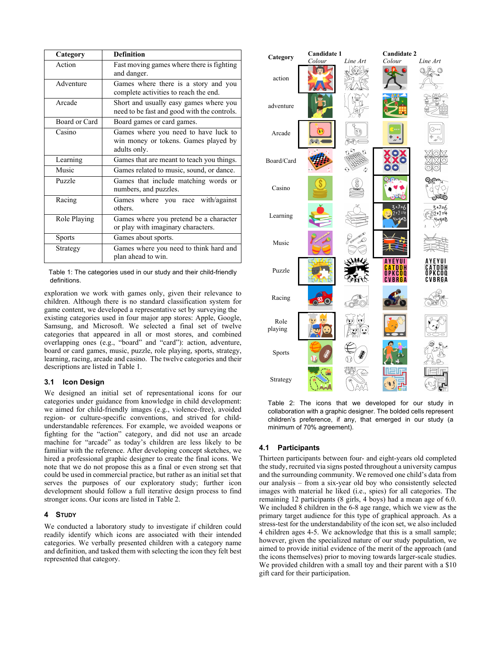| Category      | <b>Definition</b>                                                                            |
|---------------|----------------------------------------------------------------------------------------------|
| Action        | Fast moving games where there is fighting<br>and danger.                                     |
| Adventure     | Games where there is a story and you<br>complete activities to reach the end.                |
| Arcade        | Short and usually easy games where you<br>need to be fast and good with the controls.        |
| Board or Card | Board games or card games.                                                                   |
| Casino        | Games where you need to have luck to<br>win money or tokens. Games played by<br>adults only. |
| Learning      | Games that are meant to teach you things.                                                    |
| Music         | Games related to music, sound, or dance.                                                     |
| Puzzle        | Games that include matching words or<br>numbers, and puzzles.                                |
| Racing        | where you race with/against<br>Games<br>others                                               |
| Role Playing  | Games where you pretend be a character<br>or play with imaginary characters.                 |
| <b>Sports</b> | Games about sports.                                                                          |
| Strategy      | Games where you need to think hard and<br>plan ahead to win.                                 |

Table 1: The categories used in our study and their child-friendly definitions.

exploration we work with games only, given their relevance to children. Although there is no standard classification system for game content, we developed a representative set by surveying the existing categories used in four major app stores: Apple, Google, Samsung, and Microsoft. We selected a final set of twelve categories that appeared in all or most stores, and combined overlapping ones (e.g., "board" and "card"): action, adventure, board or card games, music, puzzle, role playing, sports, strategy, learning, racing, arcade and casino. The twelve categories and their descriptions are listed in Table 1.

# **3.1 Icon Design**

We designed an initial set of representational icons for our categories under guidance from knowledge in child development: we aimed for child-friendly images (e.g., violence-free), avoided region- or culture-specific conventions, and strived for childunderstandable references. For example, we avoided weapons or fighting for the "action" category, and did not use an arcade machine for "arcade" as today's children are less likely to be familiar with the reference. After developing concept sketches, we hired a professional graphic designer to create the final icons. We note that we do not propose this as a final or even strong set that could be used in commercial practice, but rather as an initial set that serves the purposes of our exploratory study; further icon development should follow a full iterative design process to find stronger icons. Our icons are listed in Table 2.

## **4 STUDY**

We conducted a laboratory study to investigate if children could readily identify which icons are associated with their intended categories. We verbally presented children with a category name and definition, and tasked them with selecting the icon they felt best represented that category.



Table 2: The icons that we developed for our study in collaboration with a graphic designer. The bolded cells represent children's preference, if any, that emerged in our study (a minimum of 70% agreement).

## **4.1 Participants**

Thirteen participants between four- and eight-years old completed the study, recruited via signs posted throughout a university campus and the surrounding community. We removed one child's data from our analysis – from a six-year old boy who consistently selected images with material he liked (i.e., spies) for all categories. The remaining 12 participants (8 girls, 4 boys) had a mean age of 6.0. We included 8 children in the 6-8 age range, which we view as the primary target audience for this type of graphical approach. As a stress-test for the understandability of the icon set, we also included 4 children ages 4-5. We acknowledge that this is a small sample; however, given the specialized nature of our study population, we aimed to provide initial evidence of the merit of the approach (and the icons themselves) prior to moving towards larger-scale studies. We provided children with a small toy and their parent with a \$10 gift card for their participation.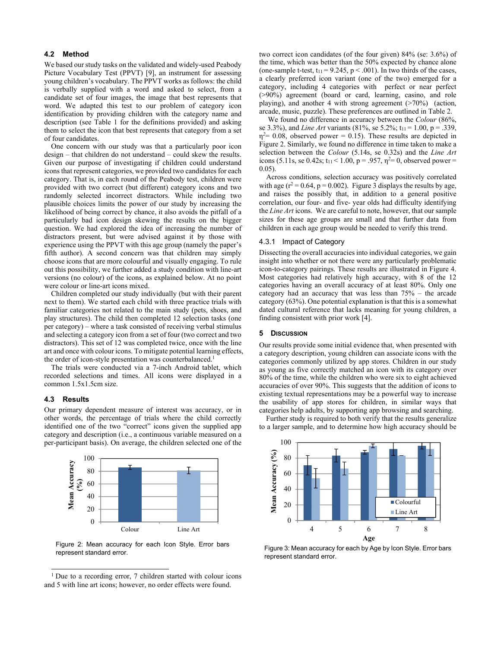### **4.2 Method**

We based our study tasks on the validated and widely-used Peabody Picture Vocabulary Test (PPVT) [9], an instrument for assessing young children's vocabulary. The PPVT works as follows: the child is verbally supplied with a word and asked to select, from a candidate set of four images, the image that best represents that word. We adapted this test to our problem of category icon identification by providing children with the category name and description (see Table 1 for the definitions provided) and asking them to select the icon that best represents that category from a set of four candidates.

One concern with our study was that a particularly poor icon design – that children do not understand – could skew the results. Given our purpose of investigating if children could understand icons that represent categories, we provided two candidates for each category. That is, in each round of the Peabody test, children were provided with two correct (but different) category icons and two randomly selected incorrect distractors. While including two plausible choices limits the power of our study by increasing the likelihood of being correct by chance, it also avoids the pitfall of a particularly bad icon design skewing the results on the bigger question. We had explored the idea of increasing the number of distractors present, but were advised against it by those with experience using the PPVT with this age group (namely the paper's fifth author). A second concern was that children may simply choose icons that are more colourful and visually engaging. To rule out this possibility, we further added a study condition with line-art versions (no colour) of the icons, as explained below. At no point were colour or line-art icons mixed.

Children completed our study individually (but with their parent next to them). We started each child with three practice trials with familiar categories not related to the main study (pets, shoes, and play structures). The child then completed 12 selection tasks (one per category) – where a task consisted of receiving verbal stimulus and selecting a category icon from a set of four (two correct and two distractors). This set of 12 was completed twice, once with the line art and once with colour icons. To mitigate potential learning effects, the order of icon-style presentation was counterbalanced.<sup>1</sup>

The trials were conducted via a 7-inch Android tablet, which recorded selections and times. All icons were displayed in a common 1.5x1.5cm size.

#### **4.3 Results**

 $\overline{a}$ 

Our primary dependent measure of interest was accuracy, or in other words, the percentage of trials where the child correctly identified one of the two "correct" icons given the supplied app category and description (i.e., a continuous variable measured on a per-participant basis). On average, the children selected one of the



Figure 2: Mean accuracy for each Icon Style. Error bars Figure 2: Mean accuracy for each Icon Style. Error bars<br>Figure 3: Mean accuracy for each by Age by Icon Style. Error bars

two correct icon candidates (of the four given) 84% (se: 3.6%) of the time, which was better than the 50% expected by chance alone (one-sample t-test,  $t_{11} = 9.245$ ,  $p < .001$ ). In two thirds of the cases, a clearly preferred icon variant (one of the two) emerged for a category, including 4 categories with perfect or near perfect (>90%) agreement (board or card, learning, casino, and role playing), and another 4 with strong agreement  $($ >70%) (action, arcade, music, puzzle). These preferences are outlined in Table 2.

 We found no difference in accuracy between the *Colour* (86%, se 3.3%), and *Line Art* variants (81%, se 5.2%;  $t_{11} = 1.00$ ,  $p = .339$ ,  $\eta^2$ = 0.08, observed power = 0.15). These results are depicted in Figure 2. Similarly, we found no difference in time taken to make a selection between the *Colour* (5.14s, se 0.32s) and the *Line Art* icons (5.11s, se 0.42s;  $t_{11}$  < 1.00, p = .957,  $\eta$ <sup>2</sup> = 0, observed power = 0.05).

Across conditions, selection accuracy was positively correlated with age ( $r^2$  = 0.64, p = 0.002). Figure 3 displays the results by age, and raises the possibly that, in addition to a general positive correlation, our four- and five- year olds had difficulty identifying the *Line Art* icons. We are careful to note, however, that our sample sizes for these age groups are small and that further data from children in each age group would be needed to verify this trend.

## 4.3.1 Impact of Category

Dissecting the overall accuracies into individual categories, we gain insight into whether or not there were any particularly problematic icon-to-category pairings. These results are illustrated in Figure 4. Most categories had relatively high accuracy, with 8 of the 12 categories having an overall accuracy of at least 80%. Only one category had an accuracy that was less than 75% – the arcade category (63%). One potential explanation is that this is a somewhat dated cultural reference that lacks meaning for young children, a finding consistent with prior work [4].

## **5 DISCUSSION**

Our results provide some initial evidence that, when presented with a category description, young children can associate icons with the categories commonly utilized by app stores. Children in our study as young as five correctly matched an icon with its category over 80% of the time, while the children who were six to eight achieved accuracies of over 90%. This suggests that the addition of icons to existing textual representations may be a powerful way to increase the usability of app stores for children, in similar ways that categories help adults, by supporting app browsing and searching.

Further study is required to both verify that the results generalize to a larger sample, and to determine how high accuracy should be



represent standard error.

<sup>&</sup>lt;sup>1</sup> Due to a recording error, 7 children started with colour icons and 5 with line art icons; however, no order effects were found.